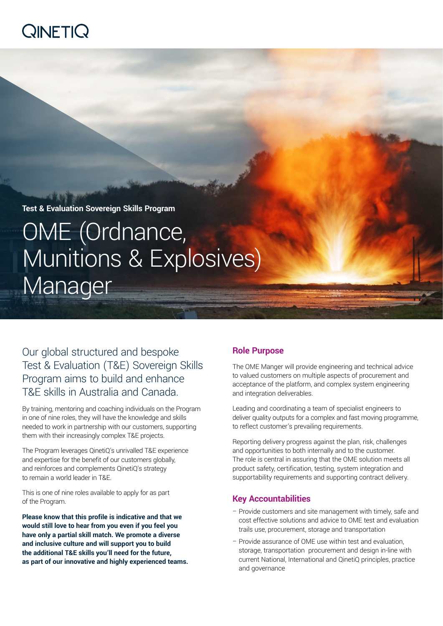# **QINETIQ**

**Test & Evaluation Sovereign Skills Program**

# OME (Ordnance, Munitions & Explosives) Manager

Our global structured and bespoke Test & Evaluation (T&E) Sovereign Skills Program aims to build and enhance T&E skills in Australia and Canada.

By training, mentoring and coaching individuals on the Program in one of nine roles, they will have the knowledge and skills needed to work in partnership with our customers, supporting them with their increasingly complex T&E projects.

The Program leverages QinetiQ's unrivalled T&E experience and expertise for the benefit of our customers globally, and reinforces and complements QinetiQ's strategy to remain a world leader in T&E.

This is one of nine roles available to apply for as part of the Program.

**Please know that this profile is indicative and that we would still love to hear from you even if you feel you have only a partial skill match. We promote a diverse and inclusive culture and will support you to build the additional T&E skills you'll need for the future, as part of our innovative and highly experienced teams.**

# **Role Purpose**

The OME Manger will provide engineering and technical advice to valued customers on multiple aspects of procurement and acceptance of the platform, and complex system engineering and integration deliverables.

Leading and coordinating a team of specialist engineers to deliver quality outputs for a complex and fast moving programme, to reflect customer's prevailing requirements.

Reporting delivery progress against the plan, risk, challenges and opportunities to both internally and to the customer. The role is central in assuring that the OME solution meets all product safety, certification, testing, system integration and supportability requirements and supporting contract delivery.

# **Key Accountabilities**

- Provide customers and site management with timely, safe and cost effective solutions and advice to OME test and evaluation trails use, procurement, storage and transportation
- Provide assurance of OME use within test and evaluation, storage, transportation procurement and design in-line with current National, International and QinetiQ principles, practice and governance